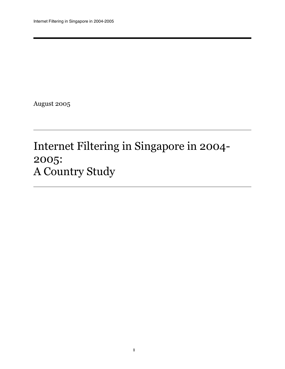August 2005

# Internet Filtering in Singapore in 2004- 2005: A Country Study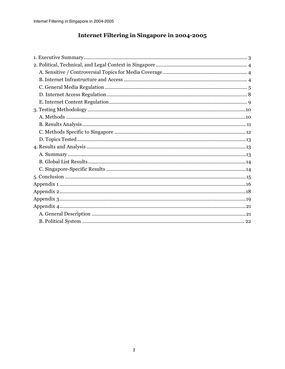## Internet Filtering in Singapore in 2004-2005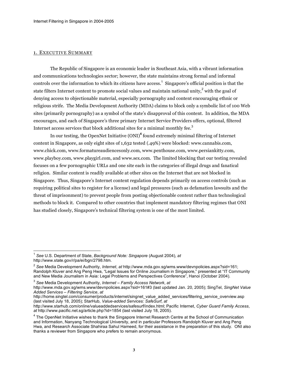#### 1. EXECUTIVE SUMMARY

 $\frac{1}{2}$ 

The Republic of Singapore is an economic leader in Southeast Asia, with a vibrant information and communications technologies sector; however, the state maintains strong formal and informal controls over the information to which its citizens have access. <sup>1</sup> Singapore's official position is that the state filters Internet content to promote social values and maintain national unity, $^2$  with the goal of denying access to objectionable material, especially pornography and content encouraging ethnic or religious strife. The Media Development Authority (MDA) claims to block only a symbolic list of 100 Web sites (primarily pornography) as a symbol of the state's disapproval of this content. In addition, the MDA encourages, and each of Singapore's three primary Internet Service Providers offers, optional, filtered Internet access services that block additional sites for a minimal monthly fee. $^3$ 

In our testing, the OpenNet Initiative (ONI) **<sup>4</sup>** found extremely minimal filtering of Internet content in Singapore, as only eight sites of 1,632 tested (.49%) were blocked: www.cannabis.com, www.chick.com, www.formatureaudiencesonly.com, www.penthouse.com, www.persiankitty.com, www.playboy.com, www.playgirl.com, and www.sex.com. The limited blocking that our testing revealed focuses on a few pornographic URLs and one site each in the categories of illegal drugs and fanatical religion. Similar content is readily available at other sites on the Internet that are not blocked in Singapore. Thus, Singapore's Internet content regulation depends primarily on access controls (such as requiring political sites to register for a license) and legal pressures (such as defamation lawsuits and the threat of imprisonment) to prevent people from posting objectionable content rather than technological methods to block it. Compared to other countries that implement mandatory filtering regimes that ONI has studied closely, Singapore's technical filtering system is one of the most limited.

<sup>3</sup> *See* Media Development Authority, *Internet – Family Access Network*, *at*

http://home.singtel.com/consumer/products/internet/singnet\_value\_added\_services/filtering\_service\_overview.asp (last visited July 18, 2005); StarHub, *Value-added Services: SafeSurf*, *at*

<sup>1</sup> *See* U.S. Department of State, *Background Note: Singapore* (August 2004), *at* http://www.state.gov/r/pa/ei/bgn/2798.htm.

<sup>2</sup> *See* Media Development Authority, *Internet*, *at* http://www.mda.gov.sg/wms.www/devnpolicies.aspx?sid=161; Randolph Kluver and Ang Peng Hwa, "Legal Issues for Online Journalism in Singapore," presented at "IT Community and New Media Journalism in Asia: Legal Problems and Perspectives Conference", Hanoi (October 2004).

http://www.mda.gov.sg/wms.www/devnpolicies.aspx?sid=161#3 (last updated Jan. 20, 2005); SingTel, *SingNet Value Added Services – Filtering Service*, *at*

http://www.starhub.com/online/valueaddedservices/safesurf/index.html; Pacific Internet, *Cyber Guard Family Access*, *at* http://www.pacific.net.sg/article.php?id=1854 (last visited July 18, 2005).

<sup>&</sup>lt;sup>4</sup> The OpenNet Initiative wishes to thank the Singapore Internet Research Centre at the School of Communication and Information, Nanyang Technological University, and in particular Professors Randolph Kluver and Ang Peng Hwa, and Research Associate Shahiraa Sahul Hameed, for their assistance in the preparation of this study. ONI also thanks a reviewer from Singapore who prefers to remain anonymous.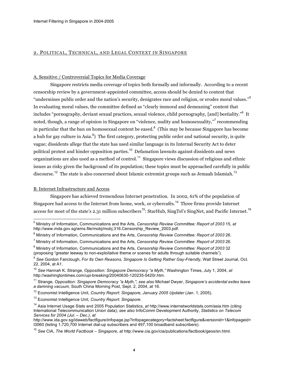#### 2. POLITICAL, TECHNICAL, AND LEGAL CONTEXT IN SINGAPORE

#### A. Sensitive / Controversial Topics for Media Coverage

Singapore restricts media coverage of topics both formally and informally. According to a recent censorship review by a government-appointed committee, access should be denied to content that "undermines public order and the nation's security, denigrates race and religion, or erodes moral values." 5 In evaluating moral values, the committee defined as "clearly immoral and demeaning" content that includes "pornography, deviant sexual practices, sexual violence, child pornography, [and] bestiality." <sup>6</sup> It noted, though, a range of opinion in Singapore on "violence, nudity and homosexuality," recommending in particular that the ban on homosexual content be eased. $^8$  (This may be because Singapore has become a hub for gay culture in Asia.<sup>9</sup>) The first category, protecting public order and national security, is quite vague; dissidents allege that the state has used similar language in its Internal Security Act to deter political protest and hinder opposition parties.<sup>10</sup> Defamation lawsuits against dissidents and news organizations are also used as a method of control.<sup>11</sup> Singapore views discussion of religious and ethnic issues as risky given the background of its population; these topics must be approached carefully in public discourse.<sup>12</sup> The state is also concerned about Islamic extremist groups such as Jemaah Islamiah.<sup>13</sup>

#### B. Internet Infrastructure and Access

Singapore has achieved tremendous Internet penetration. In 2002, 61% of the population of Singapore had access to the Internet from home, work, or cybercafés.<sup>14</sup> Three firms provide Internet access for most of the state's 2.31 million subscribers<sup>15</sup>: StarHub, SingTel's SingNet, and Pacific Internet.<sup>16</sup>

 $\overline{a}$ <sup>5</sup> Ministry of Information, Communications and the Arts, *Censorship Review Committee: Report of 2003* 15, *at* http://www.mda.gov.sg/wms.file/mobj/mobj.316.Censorship\_Review\_2003.pdf.

<sup>6</sup> Ministry of Information, Communications and the Arts, *Censorship Review Committee: Report of 2003* 26.

<sup>7</sup> Ministry of Information, Communications and the Arts, *Censorship Review Committee: Report of 2003* 26.

<sup>8</sup> Ministry of Information, Communications and the Arts, *Censorship Review Committee: Report of 2003* 32 (proposing "greater leeway to non-exploitative theme or scenes for adults through suitable channels").

<sup>9</sup> *See* Gordon Fairclough, *For Its Own Reasons, Singapore Is Getting Rather Gay-Friendly*, Wall Street Journal, Oct. 22, 2004, at A1.

<sup>10</sup> *See* Hannah K. Strange, *Opposition: Singapore Democracy "a Myth,"* Washington Times, July 1, 2004, *at* http://washingtontimes.com/upi-breaking/20040630-120235-5420r.htm.

<sup>11</sup> Strange, *Opposition: Singapore Democracy "a Myth,"*; *see also* Michael Dwyer, *Singapore's accidental exiles leave a damning vacuum*, South China Morning Post, Sept. 2, 2004, at 16.

<sup>12</sup> Economist Intelligence Unit, *Country Report: Singapore*, *January 2005 Updater* (Jan. 1, 2005).

<sup>13</sup> Economist Intelligence Unit, *Country Report: Singapore*.

<sup>14</sup> Asia Internet Usage Stats and 2005 Population Statistics, *at* http://www.internetworldstats.com/asia.htm (citing International Telecommunication Union data); *see also* InfoComm Development Authority, *Statistics on Telecom Services for 2004 (Jul. – Dec.)*, *at*

http://www.ida.gov.sg/idaweb/factfigure/infopage.jsp?infopagecategory=factsheet:factfigure&versionid=1&infopageid= I3060 (listing 1,720,700 Internet dial-up subscribers and 497,100 broadband subscribers).

<sup>15</sup> *See* CIA, *The World Factbook – Singapore*, *at* http://www.cia.gov/cia/publications/factbook/geos/sn.html.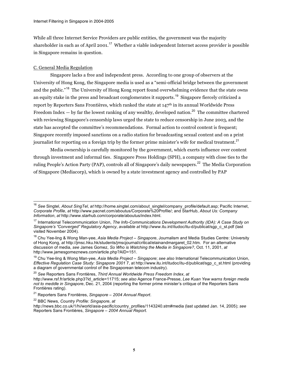While all three Internet Service Providers are public entities, the government was the majority shareholder in each as of April 2001. $^{17}\,$  Whether a viable independent Internet access provider is possible in Singapore remains in question.

#### C. General Media Regulation

Singapore lacks a free and independent press. According to one group of observers at the University of Hong Kong, the Singapore media is used as a "semi-official bridge between the government and the public."<sup>18</sup> The University of Hong Kong report found overwhelming evidence that the state owns an equity stake in the press and broadcast conglomerates it supports.<sup>19</sup> Singapore fiercely criticized a report by Reporters Sans Frontières, which ranked the state at 147<sup>th</sup> in its annual Worldwide Press Freedom Index  $-$  by far the lowest ranking of any wealthy, developed nation.<sup>20</sup> The committee chartered with reviewing Singapore's censorship laws urged the state to reduce censorship in June 2003, and the state has accepted the committee's recommendations. Formal action to control content is frequent; Singapore recently imposed sanctions on a radio station for broadcasting sexual content and on a print journalist for reporting on a foreign trip by the former prime minister's wife for medical treatment. $^{21}$ 

Media ownership is carefully monitored by the government, which exerts influence over content through investment and informal ties. Singapore Press Holdings (SPH), a company with close ties to the ruling People's Action Party (PAP), controls all of Singapore's daily newspapers.<sup>22</sup> The Media Corporation of Singapore (Mediacorp), which is owned by a state investment agency and controlled by PAP

<sup>16</sup> *See* Singtel, *About SingTel*, *at* http://home.singtel.com/about\_singtel/company\_profile/default.asp; Pacific Internet, *Corporate Profile*, *at* http://www.pacnet.com/aboutus/Corporate%20Profile/; and StarHub, *About Us: Company Information*, *at* http://www.starhub.com/corporate/aboutus/index.html.

<sup>17</sup> International Telecommunication Union, *The Info-Communications Development Authority (IDA): A Case Study on Singapore's "Converged" Regulatory Agency*, *available at* http://www.itu.int/itudoc/itu-d/publicat/sgp\_c\_st.pdf (last visited November 2004).

<sup>18</sup> Chu Yee-ling & Wong Man-yee, *Asia Media Project – Singapore*, Journalism and Media Studies Centre: University of Hong Kong, *at* http://jmsc.hku.hk/students/jmscjournal/critical/elainandmargaret\_02.htm. For an alternative discussion of media, *see* James Gomez, *So Who is Watching the Media in Singapore?*, Oct. 11, 2001, *at* http://www.jamesgomeznews.com/article.php?AID=151.

<sup>19</sup> Chu Yee-ling & Wong Man-yee, *Asia Media Project – Singapore*; *see also* International Telecommunication Union, *Effective Regulation Case Study: Singapore 2001* 7, at http://www.itu.int/itudoc/itu-d/publicat/sgp\_c\_st.html (providing a diagram of governmental control of the Singaporean telecom industry).

<sup>20</sup> *See* Reporters Sans Frontières, *Third Annual Worldwide Press Freedom Index*, *at* http://www.rsf.fr/article.php3?id\_article=11715; *see also* Agence France-Presse, *Lee Kuan Yew warns foreign media not to meddle in Singapore*, Dec. 21, 2004 (reporting the former prime minister's critique of the Reporters Sans Frontières rating).

<sup>21</sup> Reporters Sans Frontières, *Singapore – 2004 Annual Report*.

<sup>22</sup> BBC News, *Country Profile: Singapore*, *at*

http://news.bbc.co.uk/1/hi/world/asia-pacific/country\_profiles/1143240.stm#media (last updated Jan. 14, 2005); *see* Reporters Sans Frontières, *Singapore – 2004 Annual Report*.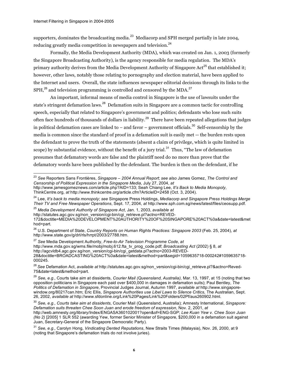$\frac{1}{\sqrt{2}}$ 

supporters, dominates the broadcasting media.<sup>23</sup> Mediacorp and SPH merged partially in late 2004, reducing greatly media competition in newspapers and television.<sup>24</sup>

Formally, the Media Development Authority (MDA), which was created on Jan. 1, 2003 (formerly the Singapore Broadcasting Authority), is the agency responsible for media regulation. The MDA's primary authority derives from the Media Development Authority of Singapore Act<sup>25</sup> that established it; however, other laws, notably those relating to pornography and election material, have been applied to the Internet and users. Overall, the state influences newspaper editorial decisions through its links to the  $SPH, ^{26}$  and television programming is controlled and censored by the MDA.<sup>27</sup>

An important, informal means of media control in Singapore is the use of lawsuits under the state's stringent defamation laws.<sup>28</sup> Defamation suits in Singapore are a common tactic for controlling speech, especially that related to Singapore's government and politics; defendants who lose such suits often face hundreds of thousands of dollars in liability.<sup>29</sup> There have been repeated allegations that judges in political defamation cases are linked to – and favor – government officials. $^{30}$  Self-censorship by the media is common since the standard of proof in a defamation suit is easily met -- the burden rests upon the defendant to prove the truth of the statements (absent a claim of privilege, which is quite limited in scope) by substantial evidence, without the benefit of a jury trial.<sup>31</sup> Thus, "The law of defamation presumes that defamatory words are false and the plaintiff need do no more than prove that the defamatory words have been published by the defendant. The burden is then on the defendant, if he

http://statutes.agc.gov.sg/non\_version/cgi-bin/cgi\_retrieve.pl?actno=REVED-

<sup>27</sup> *See* Media Development Authority, *Free-to-Air Television Programme Code*, *at* http://www.mda.gov.sg/wms.file/mobj/mobj.612.fta\_tv\_prog\_code.pdf; *Broadcasting Act* (2002) § 8, *at*

http://agcvldb4.agc.gov.sg/non\_version/cgi-bin/cgi\_getdata.pl?actno=2003-REVED-

<sup>23</sup> *See* Reporters Sans Frontières, *Singapore – 2004 Annual Report*; *see also* James Gomez, *The Control and Censorship of Political Expression in the Singapore Media*, July 27, 2004, *at*

http://www.jamesgomeznews.com/article.php?AID=133; Seah Chiang Lee, *It's Back to Media Monopoly*, ThinkCentre.org, *at* http://www.thinkcentre.org/article.cfm?ArticleID=2458 (Oct. 3, 2004).

<sup>24</sup> Lee, *It's back to media monopoly*; *see* Singapore Press Holdings, *Mediacorp and Singapore Press Holdings Merge Their TV and Free Newspaper Operations*, Sept. 17, 2004, *at* http://www.sph.com.sg/news/latest/files/ceosupp.pdf.

<sup>25</sup> *Media Development Authority of Singapore Act*, Jan. 1, 2003, *available at*

<sup>172&</sup>amp;doctitle=MEDIA%20DEVELOPMENT%20AUTHORITY%20OF%20SINGAPORE%20ACT%0a&date=latest&met hod=part.

<sup>26</sup> U.S. Department of State, *Country Reports on Human Rights Practices: Singapore 2003* (Feb. 25, 2004), *at* http://www.state.gov/g/drl/rls/hrrpt/2003/27788.htm.

<sup>28&</sup>amp;doctitle=BROADCASTING%20ACT%0a&date=latest&method=part&segid=1059635718-000242#1059635718- 000245.

<sup>28</sup> *See* Defamation Act, *available at* http://statutes.agc.gov.sg/non\_version/cgi-bin/cgi\_retrieve.pl?&actno=Reved-75&date=latest&method=part.

<sup>29</sup> *See, e.g.,* Courts take aim at dissidents, *Courier Mail (Queensland, Australia)*, Mar. 13, 1997, at 15 (noting that two opposition politicians in Singapore each paid over \$400,000 in damages in defamation suits); Paul Bentley, *The Politics of Defamation in Singapore*, Provincial Judges Journal, Autumn 1997, *available at* http://www.singaporewindow.org/80217can.htm; Eric Ellis, *Singapore Authorities use Libel Laws to Silence Critics,* The Australian, Sept. 26, 2002, *available at* http://www.sfdonline.org/Link%20Pages/Link%20Folders/02Pf/aus260902.html.

<sup>30</sup> *See, e.g., Courts take aim at dissidents*, Courier Mail (Queensland, Australia); Amnesty International, *Singapore: Defamation suits threaten Chee Soon Juan and erode freedom of expression*, Nov. 2, 2001, *at* http://web.amnesty.org/library/Index/ENGASA360102001?open&of=ENG-SGP; *Lee Kuan Yew v. Chee Soon Juan (No 2)* [2005] 1 SLR 552 (awarding Yew, former Senior Minister of Singapore, \$200,000 in a defamation suit against Juan, Secretary-General of the Singapore Democratic Party).

<sup>31</sup> *See, e.g.,* Carolyn Hong, *Vindicating Dented Reputations*, New Straits Times (Malaysia), Nov. 26, 2000, at 9 (noting that Singapore's defamation trials do not involve juries).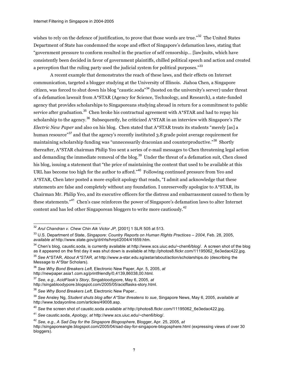wishes to rely on the defence of justification, to prove that those words are true."<sup>32</sup> The United States Department of State has condemned the scope and effect of Singapore's defamation laws, stating that "government pressure to conform resulted in the practice of self censorship… [law]suits, which have consistently been decided in favor of government plaintiffs, chilled political speech and action and created a perception that the ruling party used the judicial system for political purposes." $^{\rm 33}$ 

A recent example that demonstrates the reach of these laws, and their effects on Internet communication, targeted a blogger studying at the University of Illinois. Jiahoa Chen, a Singapore citizen, was forced to shut down his blog "caustic.soda"<sup>34</sup> (hosted on the university's server) under threat of a defamation lawsuit from A\*STAR (Agency for Science, Technology, and Research), a state-funded agency that provides scholarships to Singaporeans studying abroad in return for a commitment to public service after graduation. $^{35}$  Chen broke his contractual agreement with A\*STAR and had to repay his scholarship to the agency. <sup>36</sup> Subsequently, he criticized A\*STAR in an interview with Singapore's *The Electric New Paper* and also on his blog. Chen stated that A\*STAR treats its students "merely [as] a human resource"<sup>37</sup> and that the agency's recently instituted 3.8 grade point average requirement for maintaining scholarship funding was "unnecessarily draconian and counterproductive." <sup>38</sup> Shortly thereafter, A\*STAR chairman Philip Yeo sent a series of e-mail messages to Chen threatening legal action and demanding the immediate removal of the blog.<sup>39</sup> Under the threat of a defamation suit, Chen closed his blog, issuing a statement that "the price of maintaining the content that used to be available at this URL has become too high for the author to afford."<sup>40</sup> Following continued pressure from Yeo and A\*STAR, Chen later posted a more explicit apology that reads, "I admit and acknowledge that these statements are false and completely without any foundation. I unreservedly apologize to A\*STAR, its Chairman Mr. Philip Yeo, and its executive officers for the distress and embarrassment caused to them by these statements."<sup>41</sup> Chen's case reinforces the power of Singapore's defamation laws to alter Internet content and has led other Singaporean bloggers to write more cautiously.<sup>42</sup>

 $\frac{1}{\sqrt{2}}$ 

<sup>32</sup> *Arul Chandran v. Chew Chin Aik Victor JP,* [2001] 1 SLR 505 at 513.

<sup>33</sup> U.S. Department of State, *Singapore: Country Reports on Human Rights Practices – 2004*, Feb. 28, 2005, *available at* http://www.state.gov/g/drl/rls/hrrpt/2004/41659.htm.

 $34$  Chen's blog, caustic.soda, is currently available at http://www.scs.uiuc.edu/~chen6/blog/. A screen shot of the blog as it appeared on the first day it was shut down is available at http://photos8.flickr.com/11195062\_6e3edac422.jpg.

<sup>35</sup> *See* A\*STAR, *About A\*STAR*, *at* http://www.a-star.edu.sg/astar/about/action/scholarships.do (describing the Message to A\*Star Scholars).

<sup>36</sup> *See Why Bond Breakers Left*, Electronic New Paper, Apr. 5, 2005, *at* http://newpaper.asia1.com.sg/printfriendly/0,4139,86038,00.html.

<sup>37</sup> *See, e.g., AcidFlask's Story*, Singabloodypore, May 6, 2005, *at*

http://singabloodypore.blogspot.com/2005/05/acidflasks-story.html.

<sup>38</sup> *See Why Bond Breakers Left*, Electronic New Paper..

<sup>39</sup> *See* Ansley Ng, *Student shuts blog after A\*Star threatens to sue*, Singapore News, May 6, 2005, *available at* http://www.todayonline.com/articles/49008.asp.

<sup>40</sup> *See* the screen shot of caustic.soda *available at* http://photos8.flickr.com/11195062\_6e3edac422.jpg.

<sup>41</sup> *See* caustic.soda, *Apology*, *at* http://www.scs.uiuc.edu/~chen6/blog/.

<sup>42</sup> *See, e.g., A Sad Day for the Singapore Blogosphere*, Blogger, Apr. 25, 2005, *at*

http://singaporeangle.blogspot.com/2005/04/sad-day-for-singapore-blogosphere.html (expressing views of over 30 bloggers).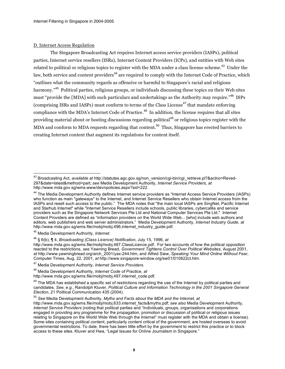#### D. Internet Access Regulation

The Singapore Broadcasting Act requires Internet access service providers (IASPs), political parties, Internet service resellers (ISRs), Internet Content Providers (ICPs), and entities with Web sites related to political or religious topics to register with the MDA under a class license scheme.<sup>43</sup> Under the law, both service and content providers<sup>44</sup> are required to comply with the Internet Code of Practice, which "outlines what the community regards as offensive or harmful to Singapore's racial and religious harmony." <sup>45</sup> Political parties, religious groups, or individuals discussing these topics on their Web sites must "provide the [MDA] with such particulars and undertakings as the Authority may require." <sup>46</sup> ISPs (comprising ISRs and IASPs) must conform to terms of the Class License<sup>47</sup> that mandate enforcing compliance with the MDA's Internet Code of Practice.<sup>48</sup> In addition, the license requires that all sites providing material about or hosting discussions regarding political<sup>49</sup> or religious topics register with the MDA and conform to MDA requests regarding that content. $^{50}\,$  Thus, Singapore has erected barriers to creating Internet content that augment its regulations for content itself.

<sup>45</sup> Media Development Authority, *Internet*.

 $\overline{a}$ 

<sup>46</sup> § 6(b), ¶ 4, *Broadcasting (Class Licence) Notification*, July 15, 1996, *at*

http://www.mda.gov.sg/wms.file/mobj/mobj.487.ClassLicence.pdf. For two accounts of how the political opposition reacted to the restrictions, *see* Yawning Bread, *Government Tightens Control Over Political Websites*, August 2001, *at* http://www.yawningbread.org/arch\_2001/yax-244.htm, and Alfred Siew, *Speaking Your Mind Online Without Fear*, Computer Times, Aug. 22, 2001, *at* http://www.singapore-window.org/sw01/010822ct.htm.

<sup>47</sup> Media Development Authority, *Internet Service Providers*.

 $49$  The MDA has established a specific set of restrictions regarding the use of the Internet by political parties and candidates. *See, e.g.,* Randolph Kluver, *Political Culture and Information Technology in the 2001 Singapore General Election*, 21 Political Communication 435 (2004).

<sup>50</sup> *See* Media Development Authority, *Myths and Facts about the MDA and the Internet*, *at*

<sup>43</sup> Broadcasting Act, *available at* http://statutes.agc.gov.sg/non\_version/cgi-bin/cgi\_retrieve.pl?&actno=Reved-297&date=latest&method=part; *see* Media Development Authority, *Internet Service Providers*, *at* http://www.mda.gov.sg/wms.www/devnpolicies.aspx?sid=222.

<sup>&</sup>lt;sup>44</sup> The Media Development Authority defines Internet service providers as "Internet Access Service Providers (IASPs) who function as main "gateways" to the Internet, and Internet Service Resellers who obtain Internet access from the IASPs and resell such access to the public." The MDA notes that "the main local IASPs are SingNet, Pacific Internet and Starhub Internet" while "Internet Service Resellers include schools, public libraries, cybercafés and service providers such as the Singapore Network Services Pte Ltd and National Computer Services Pte Ltd." Internet Content Providers are defined as "information providers on the World Wide Web... [who] include web authors and editors, web publishers and web server administrators." Media Development Authority, *Internet Industry Guide*, *at* http://www.mda.gov.sg/wms.file/mobj/mobj.496.internet\_industry\_guide.pdf.

<sup>48</sup> Media Development Authority, *Internet Code of Practice*, *at*

http://www.mda.gov.sg/wms.file/mobj/mobj.497.internet\_code.pdf.

http://www.mda.gov.sg/wms.file/mobj/mobj.633.internet\_facts&myths.pdf; *see also* Media Development Authority, *Internet Service Providers* (noting that political parties and "Individuals, groups, organisations and corporations engaged in providing any programme for the propagation, promotion or discussion of political or religious issues relating to Singapore on the World Wide Web through the Internet" must register with the MDA and obtain a license). Some sites containing political content, particularly content critical of the government, are hosted overseas to avoid governmental restrictions. To date, there has been little effort by the government to restrict this practice or to block access to these sites. Kluver and Hwa, "Legal Issues for Online Journalism in Singapore."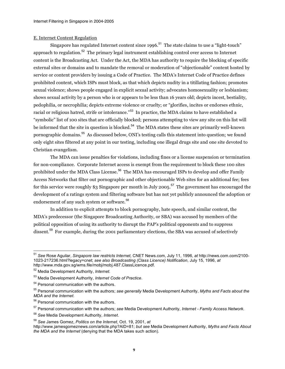#### E. Internet Content Regulation

Singapore has regulated Internet content since 1996.<sup>51</sup> The state claims to use a "light-touch" approach to regulation.<sup>52</sup> The primary legal instrument establishing control over access to Internet content is the Broadcasting Act. Under the Act, the MDA has authority to require the blocking of specific external sites or domains and to mandate the removal or moderation of "objectionable" content hosted by service or content providers by issuing a Code of Practice. The MDA's Internet Code of Practice defines prohibited content, which ISPs must block, as that which depicts nudity in a titillating fashion; promotes sexual violence; shows people engaged in explicit sexual activity; advocates homosexuality or lesbianism; shows sexual activity by a person who is or appears to be less than 16 years old; depicts incest, bestiality, pedophilia, or necrophilia; depicts extreme violence or cruelty; or "glorifies, incites or endorses ethnic, racial or religious hatred, strife or intolerance."<sup>53</sup> In practice, the MDA claims to have established a "symbolic" list of 100 sites that are officially blocked; persons attempting to view any site on this list will be informed that the site in question is blocked.<sup>54</sup> The MDA states these sites are primarily well-known pornographic domains. <sup>55</sup> As discussed below, ONI's testing calls this statement into question; we found only eight sites filtered at any point in our testing, including one illegal drugs site and one site devoted to Christian evangelism.

The MDA can issue penalties for violations, including fines or a license suspension or termination for non-compliance. Corporate Internet access is exempt from the requirement to block these 100 sites prohibited under the MDA Class License.<sup>56</sup> The MDA has encouraged ISPs to develop and offer Family Access Networks that filter out pornographic and other objectionable Web sites for an additional fee; fees for this service were roughly \$3 Singapore per month in July 2005. $^{57}$  The government has encouraged the development of a ratings system and filtering software but has not yet publicly announced the adoption or endorsement of any such system or software. 58

In addition to explicit attempts to block pornography, hate speech, and similar content, the MDA's predecessor (the Singapore Broadcasting Authority, or SBA) was accused by members of the political opposition of using its authority to disrupt the PAP's political opponents and to suppress dissent.<sup>59</sup> For example, during the 2001 parliamentary elections, the SBA was accused of selectively

 $\overline{\phantom{a}}$ <sup>51</sup> *See* Rose Aguilar, *Singapore law restricts Internet*, CNET News.com, July 11, 1996, *at* http://news.com.com/2100- 1023-217236.html?legacy=cnet; *see also Broadcasting (Class Licence) Notification*, July 15, 1996, *at* http://www.mda.gov.sg/wms.file/mobj/mobj.487.ClassLicence.pdf.

<sup>52</sup> Media Development Authority, *Internet.*

<sup>53</sup> Media Development Authority, *Internet Code of Practice*.

<sup>54</sup> Personal communication with the authors.

<sup>55</sup> Personal communication with the authors; *see generally* Media Development Authority, *Myths and Facts about the MDA and the Internet*.

<sup>56</sup> Personal communication with the authors.

<sup>57</sup> Personal communication with the authors; *see* Media Development Authority, *Internet - Family Access Network*.

<sup>58</sup> *See* Media Development Authority, *Internet*.

<sup>59</sup> *See* James Gomez, *Politics on the Internet*, Oct. 19, 2001, *at*

http://www.jamesgomeznews.com/article.php?AID=81; *but see* Media Development Authority, *Myths and Facts About the MDA and the Internet* (denying that the MDA takes such action).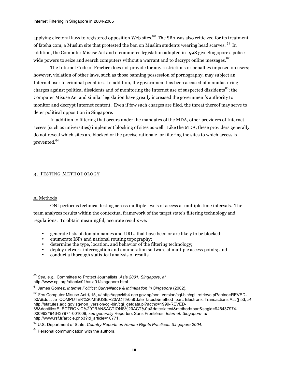applying electoral laws to registered opposition Web sites.<sup>60</sup> The SBA was also criticized for its treatment of fateha.com, a Muslim site that protested the ban on Muslim students wearing head scarves. <sup>61</sup> In addition, the Computer Misuse Act and e-commerce legislation adopted in 1998 give Singapore's police wide powers to seize and search computers without a warrant and to decrypt online messages. $^\mathrm{62}$ 

The Internet Code of Practice does not provide for any restrictions or penalties imposed on users; however, violation of other laws, such as those banning possession of pornography, may subject an Internet user to criminal penalties. In addition, the government has been accused of manufacturing charges against political dissidents and of monitoring the Internet use of suspected dissidents<sup>63</sup>; the Computer Misuse Act and similar legislation have greatly increased the government's authority to monitor and decrypt Internet content. Even if few such charges are filed, the threat thereof may serve to deter political opposition in Singapore.

In addition to filtering that occurs under the mandates of the MDA, other providers of Internet access (such as universities) implement blocking of sites as well. Like the MDA, these providers generally do not reveal which sites are blocked or the precise rationale for filtering the sites to which access is prevented.<sup>64</sup>

#### 3. TESTING METHODOLOGY

#### A. Methods

 $\overline{\phantom{a}}$ 

ONI performs technical testing across multiple levels of access at multiple time intervals. The team analyzes results within the contextual framework of the target state's filtering technology and regulations. To obtain meaningful, accurate results we:

- generate lists of domain names and URLs that have been or are likely to be blocked;
- enumerate ISPs and national routing topography;
- determine the type, location, and behavior of the filtering technology;
- deploy network interrogation and enumeration software at multiple access points; and
- conduct a thorough statistical analysis of results.

<sup>60</sup> *See, e.g.,* Committee to Protect Journalists, *Asia 2001: Singapore*, *at* http://www.cpj.org/attacks01/asia01/singapore.html.

<sup>61</sup> James Gomez, *Internet Politics: Surveillance & Intimidation in Singapore* (2002).

<sup>62</sup> *See* Computer Misuse Act § 15, *at* http://agcvldb4.agc.gov.sg/non\_version/cgi-bin/cgi\_retrieve.pl?actno=REVED-50A&doctitle=COMPUTER%20MISUSE%20ACT%0a&date=latest&method=part; Electronic Transactions Act § 53, *at* http://statutes.agc.gov.sg/non\_version/cgi-bin/cgi\_getdata.pl?actno=1999-REVED-88&doctitle=ELECTRONIC%20TRANSACTIONS%20ACT%0a&date=latest&method=part&segid=946437974- 000962#946437974-001008; *see generally* Reporters Sans Frontières, *Internet: Singapore*, *at* http://www.rsf.fr/article.php3?id\_article=10771.

<sup>63</sup> U.S. Department of State, *Country Reports on Human Rights Practices: Singapore 2004.*

 $64$  Personal communication with the authors.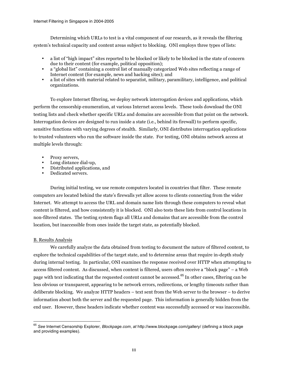Determining which URLs to test is a vital component of our research, as it reveals the filtering system's technical capacity and content areas subject to blocking. ONI employs three types of lists:

- a list of "high impact" sites reported to be blocked or likely to be blocked in the state of concern due to their content (for example, political opposition);
- a "global list" containing a control list of manually categorized Web sites reflecting a range of Internet content (for example, news and hacking sites); and
- a list of sites with material related to separatist, military, paramilitary, intelligence, and political organizations.

To explore Internet filtering, we deploy network interrogation devices and applications, which perform the censorship enumeration, at various Internet access levels. These tools download the ONI testing lists and check whether specific URLs and domains are accessible from that point on the network. Interrogation devices are designed to run inside a state (i.e., behind its firewall) to perform specific, sensitive functions with varying degrees of stealth. Similarly, ONI distributes interrogation applications to trusted volunteers who run the software inside the state. For testing, ONI obtains network access at multiple levels through:

- Proxy servers.
- Long distance dial-up,
- Distributed applications, and
- Dedicated servers.

During initial testing, we use remote computers located in countries that filter. These remote computers are located behind the state's firewalls yet allow access to clients connecting from the wider Internet. We attempt to access the URL and domain name lists through these computers to reveal what content is filtered, and how consistently it is blocked. ONI also tests these lists from control locations in non-filtered states. The testing system flags all URLs and domains that are accessible from the control location, but inaccessible from ones inside the target state, as potentially blocked.

#### B. Results Analysis

We carefully analyze the data obtained from testing to document the nature of filtered content, to explore the technical capabilities of the target state, and to determine areas that require in-depth study during internal testing. In particular, ONI examines the response received over HTTP when attempting to access filtered content. As discussed, when content is filtered, users often receive a "block page" – a Web page with text indicating that the requested content cannot be accessed.<sup>65</sup> In other cases, filtering can be less obvious or transparent, appearing to be network errors, redirections, or lengthy timeouts rather than deliberate blocking. We analyze HTTP headers – text sent from the Web server to the browser – to derive information about both the server and the requested page. This information is generally hidden from the end user. However, these headers indicate whether content was successfully accessed or was inaccessible.

 $\frac{1}{1}$ <sup>65</sup> *See* Internet Censorship Explorer, *Blockpage.com*, *at* http://www.blockpage.com/gallery/ (defining a block page and providing examples).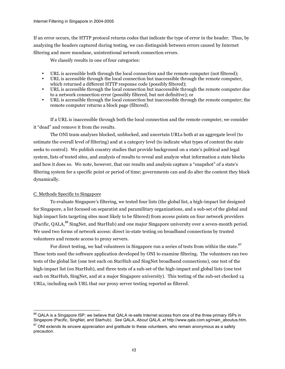If an error occurs, the HTTP protocol returns codes that indicate the type of error in the header. Thus, by analyzing the headers captured during testing, we can distinguish between errors caused by Internet filtering and more mundane, unintentional network connection errors.

We classify results in one of four categories:

- URL is accessible both through the local connection and the remote computer (not filtered);
- URL is accessible through the local connection but inaccessible through the remote computer, which returned a different HTTP response code (possibly filtered);
- URL is accessible through the local connection but inaccessible through the remote computer due to a network connection error (possibly filtered, but not definitive); or
- URL is accessible through the local connection but inaccessible through the remote computer; the remote computer returns a block page (filtered).

If a URL is inaccessible through both the local connection and the remote computer, we consider it "dead" and remove it from the results.

The ONI team analyzes blocked, unblocked, and uncertain URLs both at an aggregate level (to estimate the overall level of filtering) and at a category level (to indicate what types of content the state seeks to control). We publish country studies that provide background on a state's political and legal system, lists of tested sites, and analysis of results to reveal and analyze what information a state blocks and how it does so. We note, however, that our results and analysis capture a "snapshot" of a state's filtering system for a specific point or period of time; governments can and do alter the content they block dynamically.

#### C. Methods Specific to Singapore

 $\frac{1}{\sqrt{2}}$ 

To evaluate Singapore's filtering, we tested four lists (the global list, a high-impact list designed for Singapore, a list focused on separatist and paramilitary organizations, and a sub-set of the global and high impact lists targeting sites most likely to be filtered) from access points on four network providers (Pacific, QALA, <sup>66</sup> SingNet, and StarHub) and one major Singapore university over a seven-month period. We used two forms of network access: direct in-state testing on broadband connections by trusted volunteers and remote access to proxy servers.

For direct testing, we had volunteers in Singapore run a series of tests from within the state.  $^{67}$ These tests used the software application developed by ONI to examine filtering. The volunteers ran two tests of the global list (one test each on StarHub and SingNet broadband connections), one test of the high-impact list (on StarHub), and three tests of a sub-set of the high-impact and global lists (one test each on StarHub, SingNet, and at a major Singapore university). This testing of the sub-set checked 14 URLs, including each URL that our proxy server testing reported as filtered.

 $^{66}$  QALA is a Singapore ISP; we believe that QALA re-sells Internet access from one of the three primary ISPs in Singapore (Pacific, SingNet, and Starhub). *See* QALA, *About QALA*, *at* http://www.qala.com.sg/main\_aboutus.htm.

 $67$  ONI extends its sincere appreciation and gratitude to these volunteers, who remain anonymous as a safety precaution.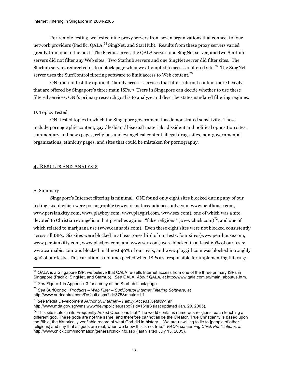For remote testing, we tested nine proxy servers from seven organizations that connect to four network providers (Pacific, QALA,<sup>68</sup> SingNet, and StarHub). Results from these proxy servers varied greatly from one to the next. The Pacific server, the QALA server, one SingNet server, and two Starhub servers did not filter any Web sites. Two Starhub servers and one SingNet server did filter sites. The Starhub servers redirected us to a block page when we attempted to access a filtered site. $^{69}$  The SingNet server uses the SurfControl filtering software to limit access to Web content.  $^{70}$ 

ONI did not test the optional, "family access" services that filter Internet content more heavily that are offered by Singapore's three main ISPs.71 Users in Singapore can decide whether to use these filtered services; ONI's primary research goal is to analyze and describe state-mandated filtering regimes.

#### D. Topics Tested

ONI tested topics to which the Singapore government has demonstrated sensitivity. These include pornographic content, gay / lesbian / bisexual materials, dissident and political opposition sites, commentary and news pages, religious and evangelical content, illegal drugs sites, non-governmental organizations, ethnicity pages, and sites that could be mistaken for pornography.

#### 4. RESULTS AND ANALYSIS

#### A. Summary

 $\overline{\phantom{a}}$ 

Singapore's Internet filtering is minimal. ONI found only eight sites blocked during any of our testing, six of which were pornographic (www.formatureaudiencesonly.com, www.penthouse.com, www.persiankitty.com, www.playboy.com, www.playgirl.com, www.sex.com), one of which was a site devoted to Christian evangelism that preaches against "false religions" (www.chick.com)<sup>72</sup>, and one of which related to marijuana use (www.cannabis.com). Even these eight sites were not blocked consistently across all ISPs. Six sites were blocked in at least one-third of our tests: four sites (www.penthouse.com, www.persiankitty.com, www.playboy.com, and www.sex.com) were blocked in at least 60% of our tests; www.cannabis.com was blocked in almost 40% of our tests; and www.playgirl.com was blocked in roughly 35% of our tests. This variation is not unexpected when ISPs are responsible for implementing filtering;

 $^{68}$  QALA is a Singapore ISP; we believe that QALA re-sells Internet access from one of the three primary ISPs in Singapore (Pacific, SingNet, and Starhub). *See* QALA, *About QALA*, *at* http://www.qala.com.sg/main\_aboutus.htm.

<sup>69</sup> *See* Figure 1 in Appendix 3 for a copy of the Starhub block page.

<sup>70</sup> *See* SurfControl, *Products – Web Filter – SurfControl Internet Filtering Software*, *at* http://www.surfcontrol.com/Default.aspx?id=375&mnuid=1.1.

<sup>71</sup> *See* Media Development Authority, *Internet – Family Access Network*, *at* http://www.mda.gov.sg/wms.www/devnpolicies.aspx?sid=161#3 (last updated Jan. 20, 2005).

 $72$  This site states in its Frequently Asked Questions that "The world contains numerous religions, each teaching a different god. These gods are not the same, and therefore cannot all be the Creator. True Christianity is based upon the Bible, the historically verifiable record of what God did in history… We are unwilling to lie to [people of other religions] and say that all gods are real, when we know this is not true." *FAQ's concerning Chick Publications*, *at* http://www.chick.com/information/general/chickinfo.asp (last visited July 13, 2005).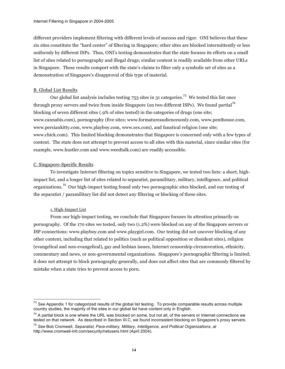different providers implement filtering with different levels of success and rigor. ONI believes that these six sites constitute the "hard center" of filtering in Singapore; other sites are blocked intermittently or less uniformly by different ISPs. Thus, ONI's testing demonstrates that the state focuses its efforts on a small list of sites related to pornography and illegal drugs; similar content is readily available from other URLs in Singapore. These results comport with the state's claims to filter only a symbolic set of sites as a demonstration of Singapore's disapproval of this type of material.

#### B. Global List Results

Our global list analysis includes testing 753 sites in 31 categories.<sup>73</sup> We tested this list once through proxy servers and twice from inside Singapore (on two different ISPs). We found partial<sup>74</sup> blocking of seven different sites (.9% of sites tested) in the categories of drugs (one site; www.cannabis.com), pornography (five sites; www.formatureaudiencesonly.com, www.penthouse.com, www.persiankitty.com, www.playboy.com, www.sex.com), and fanatical religion (one site; www.chick.com). This limited blocking demonstrates that Singapore is concerned only with a few types of content. The state does not attempt to prevent access to all sites with this material, since similar sites (for example, www.hustler.com and www.weedtalk.com) are readily accessible.

#### C. Singapore-Specific Results

To investigate Internet filtering on topics sensitive to Singapore, we tested two lists: a short, highimpact list, and a longer list of sites related to separatist, paramilitary, military, intelligence, and political organizations. <sup>75</sup> Our high-impact testing found only two pornographic sites blocked, and our testing of the separatist / paramilitary list did not detect any filtering or blocking of these sites.

#### 1. High-Impact List

 $\overline{\phantom{a}}$ 

From our high-impact testing, we conclude that Singapore focuses its attention primarily on pornography. Of the 170 sites we tested, only two (1.2%) were blocked on any of the Singapore servers or ISP connections: www.playboy.com and www.playgirl.com. Our testing did not uncover blocking of any other content, including that related to politics (such as political opposition or dissident sites), religion (evangelical and non-evangelical), gay and lesbian issues, Internet censorship circumvention, ethnicity, commentary and news, or non-governmental organizations. Singapore's pornographic filtering is limited; it does not attempt to block pornography generally, and does not affect sites that are commonly filtered by mistake when a state tries to prevent access to porn.

<sup>73</sup> *See* Appendix 1 for categorized results of the global list testing. To provide comparable results across multiple country studies, the majority of the sites in our global list have content only in English.

 $74$  A partial block is one where the URL was blocked on some, but not all, of the servers or Internet connections we tested on that network. As described in Section III.C, we found inconsistent blocking on Singapore's proxy servers.

<sup>75</sup> *See* Bob Cromwell, *Separatist, Para-military, Military, Intelligence, and Political Organizations*, *at* http://www.cromwell-intl.com/security/netusers.html (April 2004).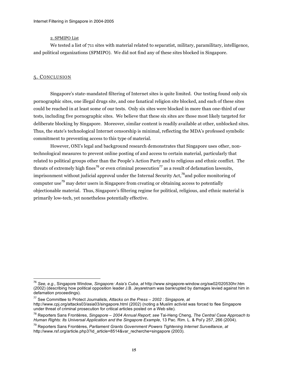#### 2. SPMIPO List

We tested a list of 711 sites with material related to separatist, military, paramilitary, intelligence, and political organizations (SPMIPO). We did not find any of these sites blocked in Singapore.

#### 5. CONCLUSION

 $\overline{\phantom{a}}$ 

Singapore's state-mandated filtering of Internet sites is quite limited. Our testing found only six pornographic sites, one illegal drugs site, and one fanatical religion site blocked, and each of these sites could be reached in at least some of our tests. Only six sites were blocked in more than one-third of our tests, including five pornographic sites. We believe that these six sites are those most likely targeted for deliberate blocking by Singapore. Moreover, similar content is readily available at other, unblocked sites. Thus, the state's technological Internet censorship is minimal, reflecting the MDA's professed symbolic commitment to preventing access to this type of material.

However, ONI's legal and background research demonstrates that Singapore uses other, nontechnological measures to prevent online posting of and access to certain material, particularly that related to political groups other than the People's Action Party and to religious and ethnic conflict. The threats of extremely high fines<sup>76</sup> or even criminal prosecution<sup>77</sup> as a result of defamation lawsuits, imprisonment without judicial approval under the Internal Security Act,<sup>78</sup>and police monitoring of computer use<sup>79</sup> may deter users in Singapore from creating or obtaining access to potentially objectionable material. Thus, Singapore's filtering regime for political, religious, and ethnic material is primarily low-tech, yet nonetheless potentially effective.

<sup>76</sup> *See, e.g.,* Singapore Window, *Singapore: Asia's Cuba*, *at* http://www.singapore-window.org/sw02/020530hr.htm (2002) (describing how political opposition leader J.B. Jeyaretnam was bankrupted by damages levied against him in defamation proceedings).

<sup>77</sup> See Committee to Protect Journalists, *Attacks on the Press – 2002 : Singapore*, *at* http://www.cpj.org/attacks03/asia03/singapore.html (2002) (noting a Muslim activist was forced to flee Singapore under threat of criminal prosecution for critical articles posted on a Web site).

<sup>78</sup> Reporters Sans Frontières, *Singapore – 2004 Annual Report*; *see* Tai-Heng Cheng, *The Central Case Approach to Human Rights: Its Universal Application and the Singapore Example*, 13 Pac. Rim. L. & Pol'y 257, 266 (2004).

<sup>79</sup> Reporters Sans Frontières, *Parliament Grants Government Powers Tightening Internet Surveillance*, *at* http://www.rsf.org/article.php3?id\_article=8514&var\_recherche=singapore (2003).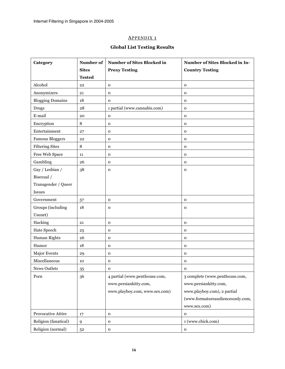## APPENDIX 1

## **Global List Testing Results**

| Category                | Number of     | Number of Sites Blocked in    | Number of Sites Blocked in In-   |  |
|-------------------------|---------------|-------------------------------|----------------------------------|--|
|                         | <b>Sites</b>  | <b>Proxy Testing</b>          | <b>Country Testing</b>           |  |
|                         | <b>Tested</b> |                               |                                  |  |
| Alcohol                 | 22            | $\mathbf 0$                   | $\mathbf 0$                      |  |
| Anonymizers             | 21            | $\mathbf 0$                   | $\mathbf 0$                      |  |
| <b>Blogging Domains</b> | 18            | $\mathbf 0$                   | $\mathbf 0$                      |  |
| <b>Drugs</b>            | 28            | 1 partial (www.cannabis.com)  | $\mathbf 0$                      |  |
| E-mail                  | 20            | $\mathbf 0$                   | $\mathbf 0$                      |  |
| Encryption              | 8             | 0                             | $\mathbf 0$                      |  |
| Entertainment           | 27            | $\mathbf 0$                   | $\mathbf 0$                      |  |
| <b>Famous Bloggers</b>  | 22            | $\mathbf 0$                   | $\mathbf 0$                      |  |
| <b>Filtering Sites</b>  | 8             | $\mathbf 0$                   | $\mathbf 0$                      |  |
| Free Web Space          | 11            | $\mathbf 0$                   | $\mathbf 0$                      |  |
| Gambling                | 26            | $\mathbf 0$                   | $\mathbf 0$                      |  |
| Gay / Lesbian /         | 38            | 0                             | $\mathbf 0$                      |  |
| Bisexual /              |               |                               |                                  |  |
| Transgender / Queer     |               |                               |                                  |  |
| <b>Issues</b>           |               |                               |                                  |  |
| Government              | 57            | $\mathbf 0$                   | $\mathbf 0$                      |  |
| Groups (including       | 18            | $\mathbf 0$                   | $\mathbf 0$                      |  |
| Usenet)                 |               |                               |                                  |  |
| Hacking                 | 21            | $\mathbf 0$                   | $\mathbf 0$                      |  |
| Hate Speech             | 25            | $\mathbf 0$                   | $\mathbf 0$                      |  |
| Human Rights            | 26            | $\mathbf 0$                   | $\mathbf 0$                      |  |
| Humor                   | 18            | 0                             | $\mathbf 0$                      |  |
| Major Events            | 29            | $\mathbf 0$                   | $\mathbf 0$                      |  |
| Miscellaneous           | 10            | 0                             | $\mathbf 0$                      |  |
| News Outlets            | 35            | $\mathbf 0$                   | $\mathbf 0$                      |  |
| Porn                    | 36            | 4 partial (www.penthouse.com, | 3 complete (www.penthouse.com,   |  |
|                         |               | www.persiankitty.com,         | www.persiankitty.com,            |  |
|                         |               | www.playboy.com, www.sex.com) | www.playboy.com), 2 partial      |  |
|                         |               |                               | (www.formatureaudiencesonly.com, |  |
|                         |               |                               | www.sex.com)                     |  |
| Provocative Attire      | 17            | $\mathbf 0$                   | $\mathbf 0$                      |  |
| Religion (fanatical)    | 9             | $\mathbf 0$                   | 1 (www.chick.com)                |  |
| Religion (normal)       | $5^{\rm 2}$   | $\mathbf 0$                   | ${\bf O}$                        |  |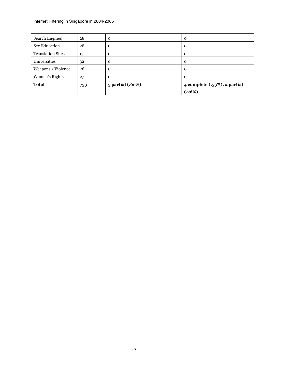| <b>Search Engines</b>    | 28  | $\mathbf{o}$     | $\mathbf{o}$                 |  |
|--------------------------|-----|------------------|------------------------------|--|
| Sex Education            | 28  | $\Omega$         | $\mathbf{o}$                 |  |
| <b>Translation Sites</b> | 13  | 0                | $\mathbf{o}$                 |  |
| Universities             | 32  | $\mathbf{o}$     | $\mathbf{o}$                 |  |
| Weapons / Violence       | 28  | $\mathbf 0$      | $\mathbf{O}$                 |  |
| Women's Rights           | 27  | $\Omega$         | $\Omega$                     |  |
| <b>Total</b>             | 753 | 5 partial (.66%) | 4 complete (.53%), 2 partial |  |
|                          |     |                  | (.26%)                       |  |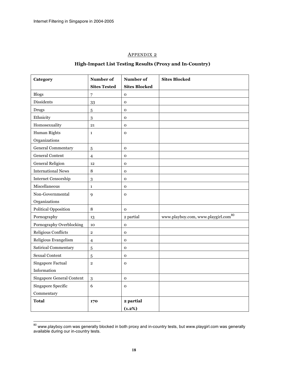$\frac{1}{\sqrt{2}}$ 

#### APPENDIX 2

### **High-Impact List Testing Results (Proxy and In-Country)**

| Category                    | Number of           | Number of            | <b>Sites Blocked</b>                            |
|-----------------------------|---------------------|----------------------|-------------------------------------------------|
|                             | <b>Sites Tested</b> | <b>Sites Blocked</b> |                                                 |
| <b>Blogs</b>                | 7                   | $\mathbf 0$          |                                                 |
| <b>Dissidents</b>           | 33                  | $\mathbf{o}$         |                                                 |
| <b>Drugs</b>                | $\sqrt{5}$          | $\mathbf 0$          |                                                 |
| Ethnicity                   | 3                   | $\mathbf 0$          |                                                 |
| Homosexuality               | 21                  | $\mathbf 0$          |                                                 |
| Human Rights                | $\mathbf{1}$        | $\mathbf O$          |                                                 |
| Organizations               |                     |                      |                                                 |
| <b>General Commentary</b>   | 5                   | $\mathbf 0$          |                                                 |
| <b>General Content</b>      | $\overline{4}$      | $\mathbf 0$          |                                                 |
| <b>General Religion</b>     | 12                  | $\mathbf 0$          |                                                 |
| <b>International News</b>   | 8                   | $\mathbf 0$          |                                                 |
| <b>Internet Censorship</b>  | 3                   | $\mathbf 0$          |                                                 |
| Miscellaneous               | $\mathbf{1}$        | $\mathbf 0$          |                                                 |
| Non-Governmental            | 9                   | $\mathbf 0$          |                                                 |
| Organizations               |                     |                      |                                                 |
| <b>Political Opposition</b> | 8                   | $\mathbf 0$          |                                                 |
| Pornography                 | 13                  | 2 partial            | www.playboy.com, www.playgirl.com <sup>80</sup> |
| Pornography Overblocking    | 10                  | $\mathbf 0$          |                                                 |
| Religious Conflicts         | $\overline{2}$      | $\mathbf 0$          |                                                 |
| Religious Evangelism        | $\overline{4}$      | $\mathbf 0$          |                                                 |
| <b>Satirical Commentary</b> | 5                   | $\mathbf 0$          |                                                 |
| <b>Sexual Content</b>       | 5                   | $\mathbf{o}$         |                                                 |
| Singapore Factual           | $\overline{2}$      | $\mathbf 0$          |                                                 |
| Information                 |                     |                      |                                                 |
| Singapore General Content   | 3                   | $\mathbf 0$          |                                                 |
| Singapore Specific          | 6                   | $\mathbf 0$          |                                                 |
| Commentary                  |                     |                      |                                                 |
| <b>Total</b>                | 170                 | 2 partial            |                                                 |
|                             |                     | (1.2%)               |                                                 |

 $^{80}$  www.playboy.com was generally blocked in both proxy and in-country tests, but www.playgirl.com was generally available during our in-country tests.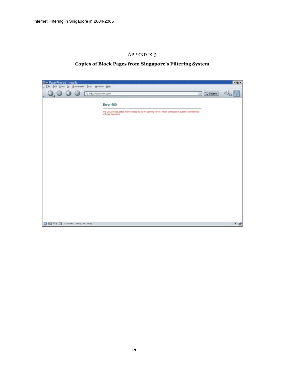## APPENDIX 3

## **Copies of Block Pages from Singapore's Filtering System**

| <b>L-</b> Page Filtered - Mozilla<br>Eile Edit View Go Bookmarks Tools Window Help |                                                                                                                                 | $-2x$      |
|------------------------------------------------------------------------------------|---------------------------------------------------------------------------------------------------------------------------------|------------|
| http://www.sex.com/<br>ω<br>$J_{\odot}$                                            | $\Box$ $\Box$ Search                                                                                                            |            |
|                                                                                    | Error 400                                                                                                                       |            |
|                                                                                    | The URL you requested has been blocked by the carriing server. Please contact your System Administrator.<br>with any questions. |            |
|                                                                                    |                                                                                                                                 |            |
|                                                                                    |                                                                                                                                 |            |
|                                                                                    |                                                                                                                                 |            |
|                                                                                    |                                                                                                                                 |            |
|                                                                                    |                                                                                                                                 |            |
|                                                                                    |                                                                                                                                 |            |
|                                                                                    |                                                                                                                                 |            |
|                                                                                    |                                                                                                                                 |            |
|                                                                                    |                                                                                                                                 |            |
|                                                                                    |                                                                                                                                 |            |
|                                                                                    |                                                                                                                                 |            |
| C D4 D Document: Done (O BB1 secs)<br>m                                            |                                                                                                                                 | $-1 - n^2$ |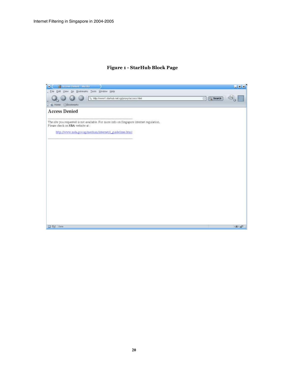#### **Figure 1 - StarHub Block Page**

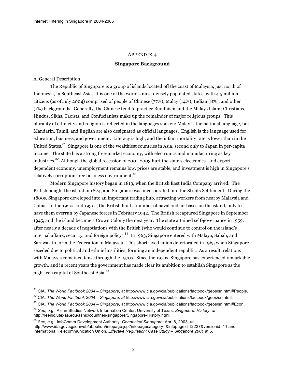#### APPENDIX 4

#### **Singapore Background**

#### A. General Description

 $\overline{\phantom{a}}$ 

The Republic of Singapore is a group of islands located off the coast of Malaysia, just north of Indonesia, in Southeast Asia. It is one of the world's most densely populated states, with 4.5 million citizens (as of July 2004) comprised of people of Chinese (77%), Malay (14%), Indian (8%), and other (1%) backgrounds. Generally, the Chinese tend to practice Buddhism and the Malays Islam; Christians, Hindus, Sikhs, Taoists, and Confucianists make up the remainder of major religious groups. This plurality of ethnicity and religion is reflected in the languages spoken: Malay is the national language, but Mandarin, Tamil, and English are also designated as official languages. English is the language used for education, business, and government. Literacy is high, and the infant mortality rate is lower than in the United States.<sup>81</sup> Singapore is one of the wealthiest countries in Asia, second only to Japan in per-capita income. The state has a strong free-market economy, with electronics and manufacturing as key industries.<sup>82</sup> Although the global recession of 2001-2003 hurt the state's electronics- and exportdependent economy, unemployment remains low, prices are stable, and investment is high in Singapore's relatively corruption-free business environment. <sup>83</sup>

Modern Singapore history began in 1819, when the British East India Company arrived. The British bought the island in 1824, and Singapore was incorporated into the Straits Settlement. During the 1800s, Singapore developed into an important trading hub, attracting workers from nearby Malaysia and China. In the 1920s and 1930s, the British built a number of naval and air bases on the island, only to have them overrun by Japanese forces in February 1942. The British recaptured Singapore in September 1945, and the island became a Crown Colony the next year. The state attained self-governance in 1959, after nearly a decade of negotiations with the British (who would continue to control on the island's internal affairs, security, and foreign policy). <sup>84</sup> In 1963, Singapore entered with Malaya, Sabah, and Sarawak to form the Federation of Malaysia. This short-lived union deteriorated in 1965 when Singapore seceded due to political and ethnic hostilities, forming an independent republic. As a result, relations with Malaysia remained tense through the 1970s. Since the 1970s, Singapore has experienced remarkable growth, and in recent years the government has made clear its ambition to establish Singapore as the high-tech capital of Southeast Asia.<sup>85</sup>

<sup>81</sup> CIA, *The World Factbook 2004 – Singapore*, *at* http://www.cia.gov/cia/publications/factbook/geos/sn.html#People.

<sup>82</sup> CIA, *The World Factbook 2004 – Singapore*, *at* http://www.cia.gov/cia/publications/factbook/geos/sn.html.

<sup>83</sup> CIA, *The World Factbook 2004 – Singapore*, *at* http://www.cia.gov/cia/publications/factbook/geos/sn.html#Econ.

<sup>84</sup> *See, e.g.,* Asian Studies Network Information Center, University of Texas, *Singapore: History*, *at* http://reenic.utexas.edu/asnic/countries/singapore/Singapore-History.html.

<sup>85</sup> *See, e.g.,* InfoComm Development Authority, *Connected Singapore*, Apr. 8, 2003, *at* http://www.ida.gov.sg/idaweb/aboutida/infopage.jsp?infopagecategory=&infopageid=I2227&versionid=11 and International Telecommunication Union, *Effective Regulation: Case Study – Singapore 2001* at 5.